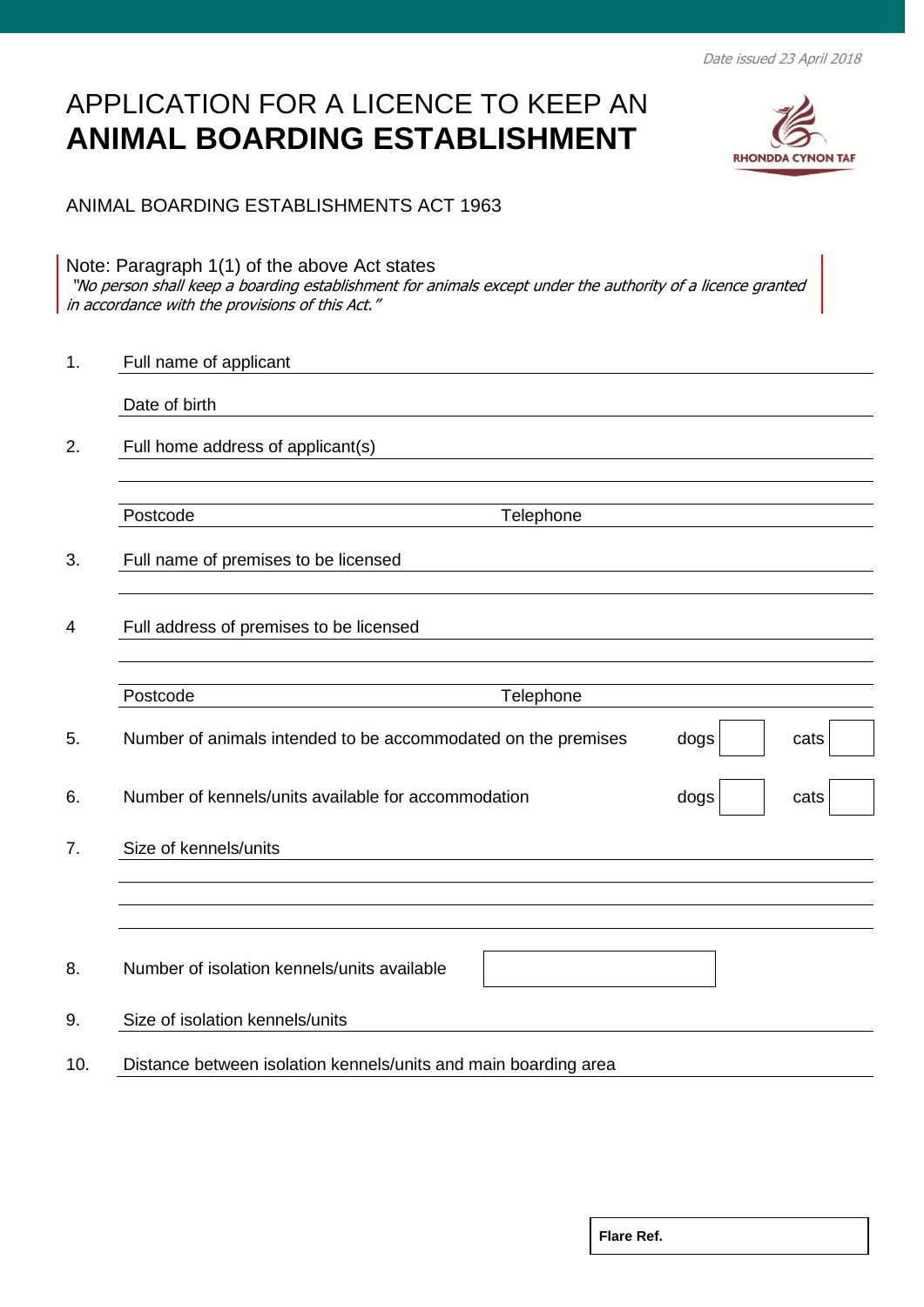Date issued 23 April 2018

## APPLICATION FOR A LICENCE TO KEEP AN **ANIMAL BOARDING ESTABLISHMENT**



ANIMAL BOARDING ESTABLISHMENTS ACT 1963

Note: Paragraph 1(1) of the above Act states "No person shall keep a boarding establishment for animals except under the authority of a licence granted in accordance with the provisions of this Act."

| cats |
|------|
| cats |
|      |
|      |
|      |
|      |
|      |
|      |
|      |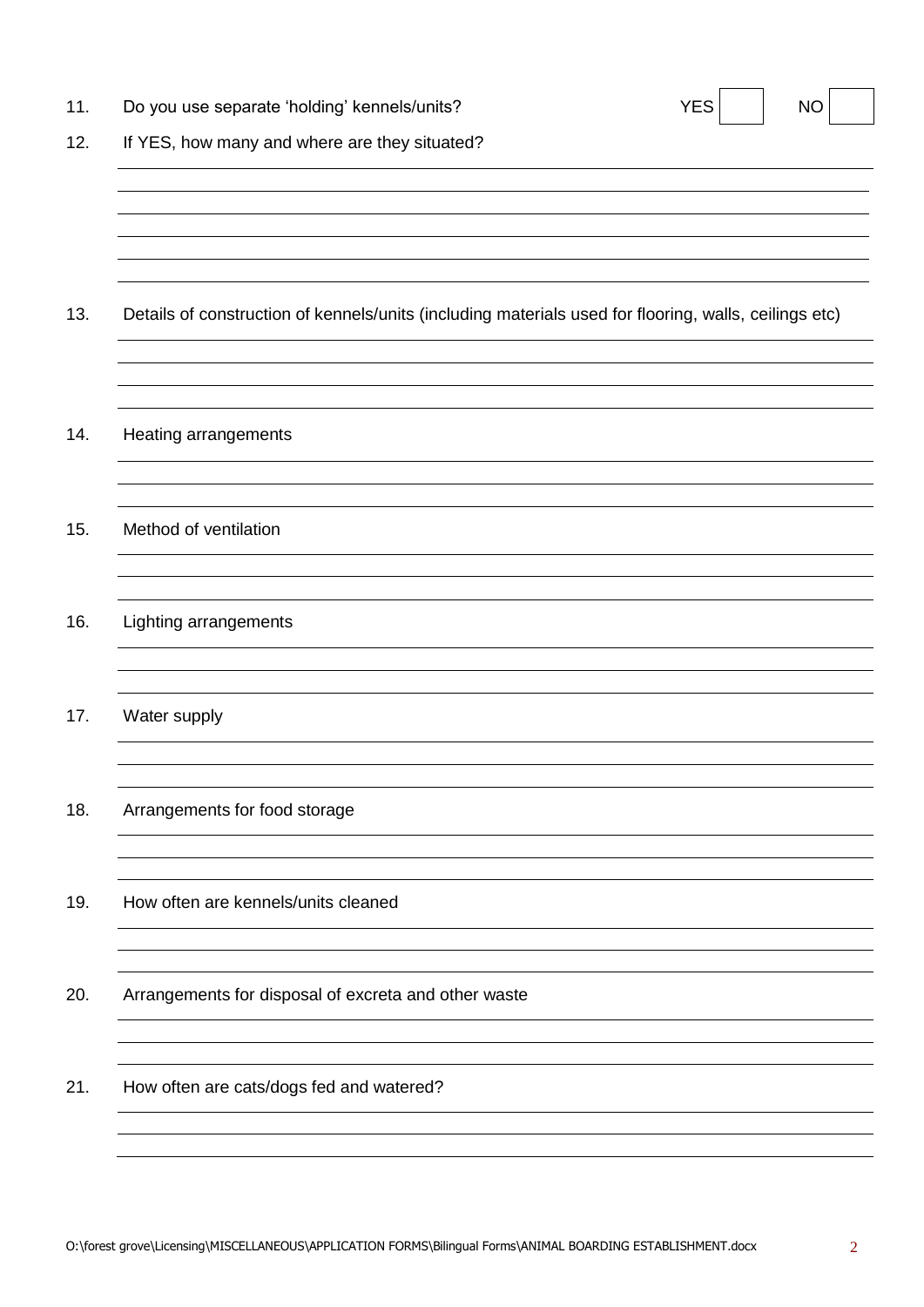| 11. | Do you use separate 'holding' kennels/units?                                                          | <b>YES</b> | <b>NO</b> |  |
|-----|-------------------------------------------------------------------------------------------------------|------------|-----------|--|
| 12. | If YES, how many and where are they situated?                                                         |            |           |  |
|     |                                                                                                       |            |           |  |
|     |                                                                                                       |            |           |  |
|     |                                                                                                       |            |           |  |
| 13. | Details of construction of kennels/units (including materials used for flooring, walls, ceilings etc) |            |           |  |
|     |                                                                                                       |            |           |  |
| 14. | Heating arrangements                                                                                  |            |           |  |
|     |                                                                                                       |            |           |  |
| 15. | Method of ventilation                                                                                 |            |           |  |
|     |                                                                                                       |            |           |  |
| 16. | Lighting arrangements                                                                                 |            |           |  |
|     |                                                                                                       |            |           |  |
| 17. | Water supply                                                                                          |            |           |  |
|     |                                                                                                       |            |           |  |
| 18. | Arrangements for food storage                                                                         |            |           |  |
|     |                                                                                                       |            |           |  |
| 19. | How often are kennels/units cleaned                                                                   |            |           |  |
|     |                                                                                                       |            |           |  |
| 20. | Arrangements for disposal of excreta and other waste                                                  |            |           |  |
|     |                                                                                                       |            |           |  |
| 21. | How often are cats/dogs fed and watered?                                                              |            |           |  |
|     |                                                                                                       |            |           |  |
|     |                                                                                                       |            |           |  |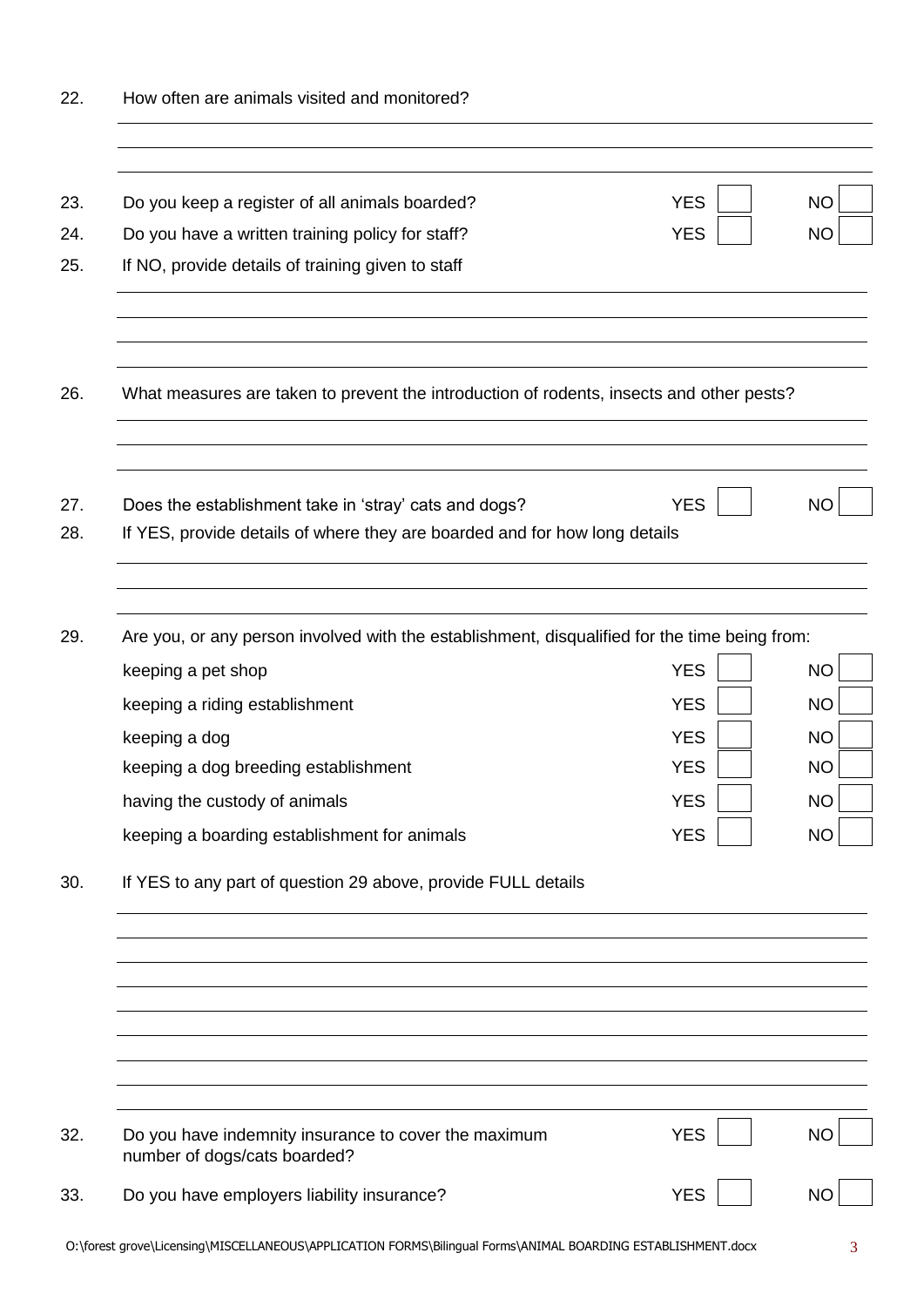| 22.               | How often are animals visited and monitored?                                                                                                            |                          |                        |
|-------------------|---------------------------------------------------------------------------------------------------------------------------------------------------------|--------------------------|------------------------|
| 23.<br>24.<br>25. | Do you keep a register of all animals boarded?<br>Do you have a written training policy for staff?<br>If NO, provide details of training given to staff | <b>YES</b><br><b>YES</b> | <b>NO</b><br><b>NO</b> |
| 26.               | What measures are taken to prevent the introduction of rodents, insects and other pests?                                                                |                          |                        |
| 27.<br>28.        | Does the establishment take in 'stray' cats and dogs?<br>If YES, provide details of where they are boarded and for how long details                     | <b>YES</b>               | <b>NO</b>              |
| 29.               | Are you, or any person involved with the establishment, disqualified for the time being from:<br>keeping a pet shop                                     | <b>YES</b>               | <b>NO</b>              |
|                   | keeping a riding establishment                                                                                                                          | <b>YES</b>               | <b>NO</b>              |
|                   | keeping a dog                                                                                                                                           | <b>YES</b>               | <b>NO</b>              |
|                   | keeping a dog breeding establishment                                                                                                                    | <b>YES</b><br><b>YES</b> | <b>NO</b><br><b>NO</b> |
|                   | having the custody of animals<br>keeping a boarding establishment for animals                                                                           | <b>YES</b>               | <b>NO</b>              |
| 30.               | If YES to any part of question 29 above, provide FULL details                                                                                           |                          |                        |
|                   |                                                                                                                                                         |                          |                        |
|                   |                                                                                                                                                         |                          |                        |
| 32.               | Do you have indemnity insurance to cover the maximum<br>number of dogs/cats boarded?                                                                    | <b>YES</b>               | <b>NO</b>              |
| 33.               | Do you have employers liability insurance?                                                                                                              | <b>YES</b>               | <b>NC</b>              |